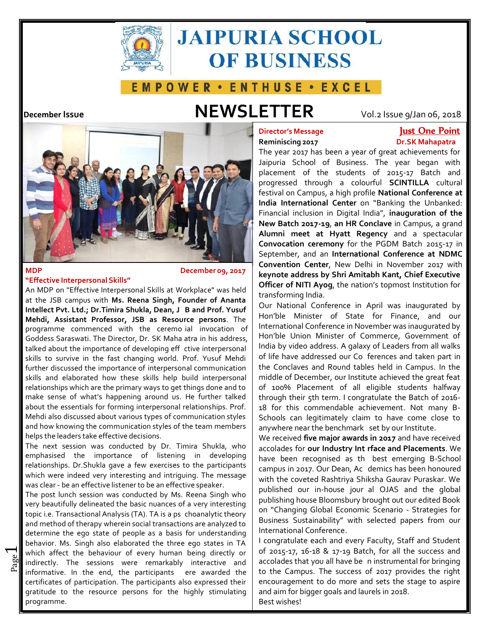

# **JAIPURIA SCHOOL OF BUSINESS**

# **EMPOWER · ENTHUSE · EXCEL**

# **December Issue NEWSLETTER** Vol.2 Issue 9/Jan 06, <sup>2018</sup>



# **MDP "Effective Interpersonal Skills"**

# **D December 09, 2017**

**S Intellect Pvt. Ltd.; Dr.Timira Shukla, Dean, <sup>J</sup> <sup>B</sup> and Prof. Yusuf** Our National Conference in April was inaugurated by programme commenced with the ceremo-ial invocation of | I<sup>nt</sup> Goddess Saraswati. The Director, Dr. SK Maha atra in his address,  $\parallel$ <sup>H</sup> talked about the importance of developing eff ctive interpersonal at the JSB campus with **Ms. Reena Singh, Founder of Ananta Mehdi, Assistant Professor, JSB as Resource persons**. The Hon'ble Minister of State for Finance, and our skills to survive in the fast changing world. Prof. Yusuf Mehdi further discussed the importance of interpersonal communication the Conclaves and Round tables held in Campus. In the skills and elaborated how these skills help build interpersonal | middle of December, our Institute achieved the great feat relationships which are the primary ways to get things done and to  $\int$  of 100% Placement of all eligible students halfway make sense of what's happening around us. He further talked about the essentials for forming interpersonal relationships. Prof. Mehdi also discussed about various types of communication styles and how knowing the communication styles of the team members helps the leaders take effective decisions.

The next session was conducted by Dr. Timira Shukla, who emphasised the importance of listening in developing relationships. Dr.Shukla gave a few exercises to the participants which were indeed very interesting and intriguing. The message with the coveted Rashtriya Shiksha Gaurav Puraskar. We was clear - be an effective listener to be an effective speaker.

topic i.e. Transactional Analysis (TA). TA is a ps choanalytic theory  $\begin{bmatrix} 0 \\ 1 \end{bmatrix}$ behavior. Ms. Singh also elaborated the three ego states in TA | I congratulate each and every Faculty, Staff and Student informative. In the end, the participants ere awarded the  $\vert$  to the Campus. The success of 2017 provides the right  $\vert$  $\frac{20}{20}$  indirectly. The sessions were remarkably interactive and accolades that you all have be n instrumental for bringing which affect the behaviour of every human being directly or  $\begin{bmatrix} 0 & 2015-17 & 16-18 & 17-19 & 28 & 17-19 \end{bmatrix}$  at the success and The post lunch session was conducted by Ms. Reena Singh who very beautifully delineated the basic nuances of a very interesting and method of therapy wherein social transactions are analyzed to and method in Sustainability" is determine the ego state of people as a basis for understanding | International Conference.<br>behavior, Ms. Singh also elaborated the three ego states in TA | | congratulate each and every Faculty, Staff and Student certificates of participation. The participants also expressed their  $\parallel$  encouragement to do more and sets the stage to aspire gratitude to the resource persons for the highly stimulating programme.

# **Director's Message Reminiscing 2017**

# **Just One Point Dr.SK Mahapatra**

The year 2017 has been a year of great achievements for Jaipuria School of Business. The year began with placement of the students of 2015-17 Batch and progressed through a colourful **SCINTILLA** cultural festival on Campus, a high profile **National Conference at India International Center** on "Banking the Unbanked: Financial inclusion in Digital India", **inauguration of the New Batch 2017-19**, **an HR Conclave** in Campus, a grand **Alumni meet at Hyatt Regency** and a spectacular **Convocation ceremony** for the PGDM Batch 2015-17 in September, and an **International Conference at NDMC Convention Center**, New Delhi in November 2017 with **keynote address by ShriAmitabh Kant, Chief Executive Officer of NITI Ayog**, the nation's topmost Institution for<br>An MDP on "Effective Interpersonal Skills at Workplace" was held transforming India.

> of life have addressed our Co ferences and taken part in anywhere near the benchmark set by our Institute. International Conference in November was inaugurated by Hon'ble Union Minister of Commerce, Government of India by video address. A galaxy of Leaders from all walks through their 5th term. I congratulate the Batch of 2016- 18 for this commendable achievement. Not many B- Schools can legitimately claim to have come close to

**e** accolades for **our Industry Int rface and Placements**. We have been recognised as th best emerging B-School | a campus in 2017. Our Dean, Ac demics has been honoured published our in-house jour al OJAS and the global helps the leaders take effective decisions. We received **five major awards in 2017** and have received publishing house Bloomsbury brought out our edited Book on "Changing Global Economic Scenario - Strategies for Business Sustainability" with selected papers from our **supplem**<br>International Conference.

and aim for bigger goals and laurels in 2018. Best wishes!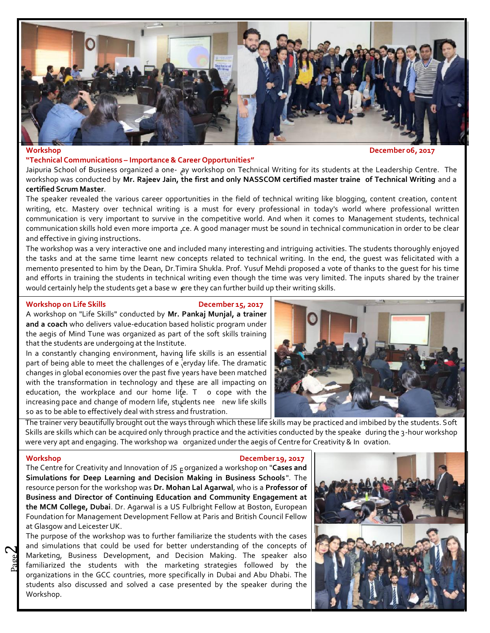

**Workshop December 06, 2017**

## **"Technical Communications – Importance & Career Opportunities"**

d Jaipuria School of Business organized a one- ay workshop on Technical Writing forits students at the Leadership Centre. The workshop was conducted by Mr. Rajeev Jain, the first and only NASSCOM certified master traine  $\,$  of Technical Writing and a  $\,$   $\,$ **certified Scrum Master**.

communication skills hold even more importa <sub>r</sub>ce. A good manager must be sound in technical communication in order to be clear The speaker revealed the various career opportunities in the field of technical writing like blogging, content creation, content writing, etc. Mastery over technical writing is a must for every professional in today's world where professional written communication is very important to survive in the competitive world. And when it comes to Management students, technical and effective in giving instructions.

would certainly help the students get a base w  $\,$  ere they can further build up their writing skills. The workshop was a very interactive one and included many interesting and intriguing activities. The students thoroughly enjoyed the tasks and at the same time learnt new concepts related to technical writing. In the end, the guest was felicitated with a memento presented to him by the Dean, Dr.Timira Shukla. Prof. Yusuf Mehdi proposed a vote of thanks to the guest for his time and efforts in training the students in technical writing even though the time was very limited. The inputs shared by the trainer

# **Workshop** on Life Skills **December 15, 2017**

A workshop on "Life Skills" conducted by **Mr. Pankaj Munjal, a trainer and a coach** who delivers value-education based holistic program under the aegis of Mind Tune was organized as part of the soft skills training that the students are undergoing at the Institute.

In a constantly changing environment, having life skills is an essential  $\left\| \cdot \right\|$ part of being able to meet the challenges of e  $\overline{\phantom{\cdot}}$  eryday life. The dramatic h with the transformation in technology and these are all impacting on education, the workplace and our home life.  $T$  o cope with the  $\frac{1}{2}$ increasing pace and change of modern life, students nee  $\,$  new life skills  $\,|\,$   $\,|$ changes in global economies over the past five years have been matched so as to be able to effectively deal with stress and frustration.



were very apt and engaging. The workshop wa organized under the aegis of Centre for Creativity & In ovation. Skills are skills which can be acquired only through practice and the activities conducted by the speake  $\,$  during the 3-hour workshop  $\,$ The trainer very beautifully brought out the ways through which these life skills may be practiced and imbibed by the students. Soft

# **Workshop December 19, 2017**

B The Centre for Creativity and Innovation of JS organized a workshop on "**Cases and Simulations for Deep Learning and Decision Making in Business Schools**". The resource person forthe workshop was **Dr. Mohan Lal Agarwal**, who is a **Professor of Business and Director of Continuing Education and Community Engagement at the MCM College, Dubai**. Dr. Agarwal is a US Fulbright Fellow at Boston, European Foundation for Management Development Fellow at Paris and British Council Fellow at Glasgow and Leicester UK.

 $\vec{p}$  familiarized the students with the marketing strategies followed by the  $\vec{p}$ Marketing, Business Development, and Decision Making. The speaker also The purpose of the workshop was to further familiarize the students with the cases and simulations that could be used for better understanding of the concepts of organizations in the GCC countries, more specifically in Dubai and Abu Dhabi. The students also discussed and solved a case presented by the speaker during the Workshop.

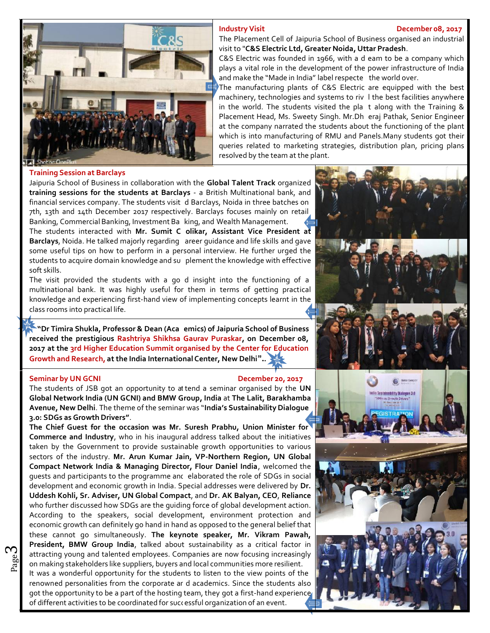### **Industry Visit December 08, 2017**



# The Placement Cell of Jaipuria School of Business organised an industrial visit to "**C&S Electric Ltd, Greater Noida, Uttar Pradesh**.

C&S Electric was founded in 1966, with a d eam to be a company which and make the "Made in India" label respecte the world over. plays a vital role in the development of the power infrastructure of India

machinery, technologies and systems to riv I the best facilities anywhere in the world. The students visited the pla  $t$  along with the Training &  $\blacksquare$ Placement Head, Ms. Sweety Singh. Mr.Dh eraj Pathak, Senior Engineer The manufacturing plants of C&S Electric are equipped with the best at the company narrated the students about the functioning of the plant which is into manufacturing of RMU and Panels.Many students got their queries related to marketing strategies, distribution plan, pricing plans resolved by the team at the plant.

## **Training Session at Barclays**

financial services company. The students visit  $\,$  d Barclays, Noida in three batches on  $\,$  M  $\,$   $\,$   $\,$ Banking, Commercial Banking, Investment Ba king, and Wealth Management. **h** The students interacted with **Mr. Sumit C olikar, Assistant Vice President at Barclays,** Noida. He talked majorly regarding areer guidance and life skills and gave **all read** students to acquire domain knowledge and su plement the knowledge with effective  $\blacksquare$  . The Jaipuria School of Business in collaboration with the **Global Talent Track** organized **training sessions for the students at Barclays** -a British Multinational bank, and 7th, 13th and 14th December 2017 respectively. Barclays focuses mainly on retail some useful tips on how to perform in a personal interview. He further urged the soft skills.

The visit provided the students with a go d insight into the functioning of a  $\blacksquare$ multinational bank. It was highly useful for them in terms of getting practical knowledge and experiencing first-hand view of implementing concepts learnt in the class rooms into practical life.

**d "Dr Timira Shukla, Professor & Dean (Aca emics) of Jaipuria School of Business received the prestigious Rashtriya Shikhsa Gaurav Puraskar, on December 08, 2017 at the 3rd Higher Education Summit organised by the Center for Education Growth and Research, at the India International Center, New Delhi"..**

### **Seminar by UN GCNI December 20, 2017**

The students of JSB got an opportunity to at tend a seminar organised by the  $\mathsf{UN}$ **Global Network India (UN GCNI) and BMW Group, India** at **The Lalit, Barakhamba Avenue, New Delhi**. The theme of the seminar was "**India's Sustainability Dialogue 3.0: SDGs as Growth Drivers"**.

guests and participants to the programme and elaborated the role of SDGs in social  $\mathbb{R}$  on making stakeholders like suppliers, buyers and local communities more resilient.  $\sigma_{\text{g}}$  attracting young and talented employees. Companies are now focusing increasingly **The Chief Guest for the occasion was Mr. Suresh Prabhu, Union Minister for Commerce and Industry**, who in his inaugural address talked about the initiatives taken by the Government to provide sustainable growth opportunities to various sectors of the industry. **Mr. Arun Kumar Jain, VP-Northern Region, UN Global Compact Network India & Managing Director, Flour Daniel India**, welcomed the development and economic growth in India. Special addresses were delivered by **Dr. Uddesh Kohli, Sr. Adviser, UN Global Compact**, and **Dr. AK Balyan, CEO**, **Reliance** who further discussed how SDGs are the guiding force of global development action. According to the speakers, social development, environment protection and economic growth can definitely go hand in hand as opposed to the general belief that these cannot go simultaneously. The keynote speaker, Mr. Vikram Pawah, President, BMW Group India, talked about sustainability as a critical factor in

renowned personalities from the corporate ar d academics. Since the students also **Figure** of different activities to be coordinated for suc‹ essful organization of an event. It was a wonderful opportunity for the students to listen to the view points of the got the opportunity to be a part of the hosting team, they got a first-hand experience